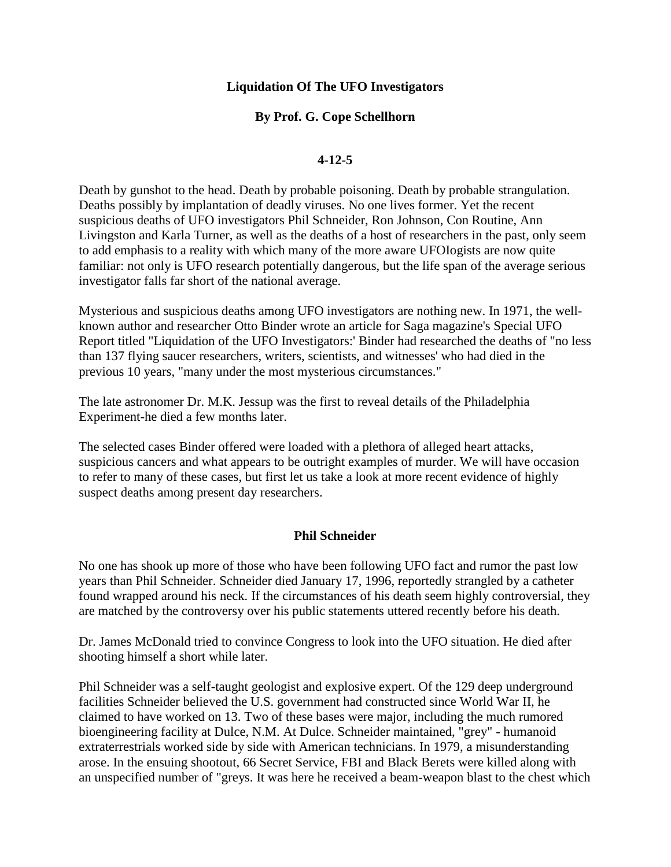## **Liquidation Of The UFO Investigators**

# **By Prof. G. Cope Schellhorn**

## **4-12-5**

Death by gunshot to the head. Death by probable poisoning. Death by probable strangulation. Deaths possibly by implantation of deadly viruses. No one lives former. Yet the recent suspicious deaths of UFO investigators Phil Schneider, Ron Johnson, Con Routine, Ann Livingston and Karla Turner, as well as the deaths of a host of researchers in the past, only seem to add emphasis to a reality with which many of the more aware UFOIogists are now quite familiar: not only is UFO research potentially dangerous, but the life span of the average serious investigator falls far short of the national average.

Mysterious and suspicious deaths among UFO investigators are nothing new. In 1971, the wellknown author and researcher Otto Binder wrote an article for Saga magazine's Special UFO Report titled "Liquidation of the UFO Investigators:' Binder had researched the deaths of "no less than 137 flying saucer researchers, writers, scientists, and witnesses' who had died in the previous 10 years, "many under the most mysterious circumstances."

The late astronomer Dr. M.K. Jessup was the first to reveal details of the Philadelphia Experiment-he died a few months later.

The selected cases Binder offered were loaded with a plethora of alleged heart attacks, suspicious cancers and what appears to be outright examples of murder. We will have occasion to refer to many of these cases, but first let us take a look at more recent evidence of highly suspect deaths among present day researchers.

## **Phil Schneider**

No one has shook up more of those who have been following UFO fact and rumor the past low years than Phil Schneider. Schneider died January 17, 1996, reportedly strangled by a catheter found wrapped around his neck. If the circumstances of his death seem highly controversial, they are matched by the controversy over his public statements uttered recently before his death.

Dr. James McDonald tried to convince Congress to look into the UFO situation. He died after shooting himself a short while later.

Phil Schneider was a self-taught geologist and explosive expert. Of the 129 deep underground facilities Schneider believed the U.S. government had constructed since World War II, he claimed to have worked on 13. Two of these bases were major, including the much rumored bioengineering facility at Dulce, N.M. At Dulce. Schneider maintained, "grey" - humanoid extraterrestrials worked side by side with American technicians. In 1979, a misunderstanding arose. In the ensuing shootout, 66 Secret Service, FBI and Black Berets were killed along with an unspecified number of "greys. It was here he received a beam-weapon blast to the chest which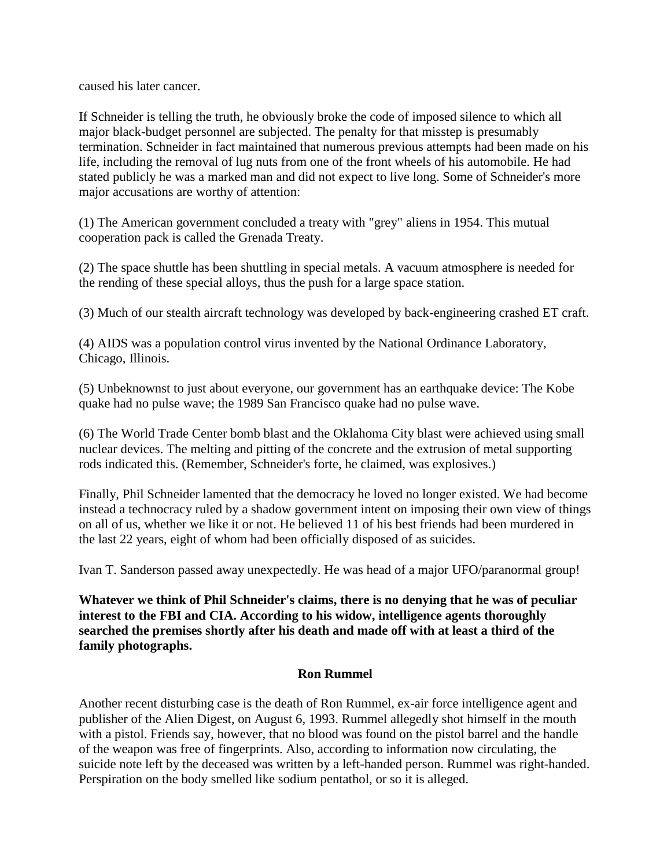caused his later cancer.

If Schneider is telling the truth, he obviously broke the code of imposed silence to which all major black-budget personnel are subjected. The penalty for that misstep is presumably termination. Schneider in fact maintained that numerous previous attempts had been made on his life, including the removal of lug nuts from one of the front wheels of his automobile. He had stated publicly he was a marked man and did not expect to live long. Some of Schneider's more major accusations are worthy of attention:

(1) The American government concluded a treaty with "grey" aliens in 1954. This mutual cooperation pack is called the Grenada Treaty.

(2) The space shuttle has been shuttling in special metals. A vacuum atmosphere is needed for the rending of these special alloys, thus the push for a large space station.

(3) Much of our stealth aircraft technology was developed by back-engineering crashed ET craft.

(4) AIDS was a population control virus invented by the National Ordinance Laboratory, Chicago, Illinois.

(5) Unbeknownst to just about everyone, our government has an earthquake device: The Kobe quake had no pulse wave; the 1989 San Francisco quake had no pulse wave.

(6) The World Trade Center bomb blast and the Oklahoma City blast were achieved using small nuclear devices. The melting and pitting of the concrete and the extrusion of metal supporting rods indicated this. (Remember, Schneider's forte, he claimed, was explosives.)

Finally, Phil Schneider lamented that the democracy he loved no longer existed. We had become instead a technocracy ruled by a shadow government intent on imposing their own view of things on all of us, whether we like it or not. He believed 11 of his best friends had been murdered in the last 22 years, eight of whom had been officially disposed of as suicides.

Ivan T. Sanderson passed away unexpectedly. He was head of a major UFO/paranormal group!

**Whatever we think of Phil Schneider's claims, there is no denying that he was of peculiar interest to the FBI and CIA. According to his widow, intelligence agents thoroughly searched the premises shortly after his death and made off with at least a third of the family photographs.** 

## **Ron Rummel**

Another recent disturbing case is the death of Ron Rummel, ex-air force intelligence agent and publisher of the Alien Digest, on August 6, 1993. Rummel allegedly shot himself in the mouth with a pistol. Friends say, however, that no blood was found on the pistol barrel and the handle of the weapon was free of fingerprints. Also, according to information now circulating, the suicide note left by the deceased was written by a left-handed person. Rummel was right-handed. Perspiration on the body smelled like sodium pentathol, or so it is alleged.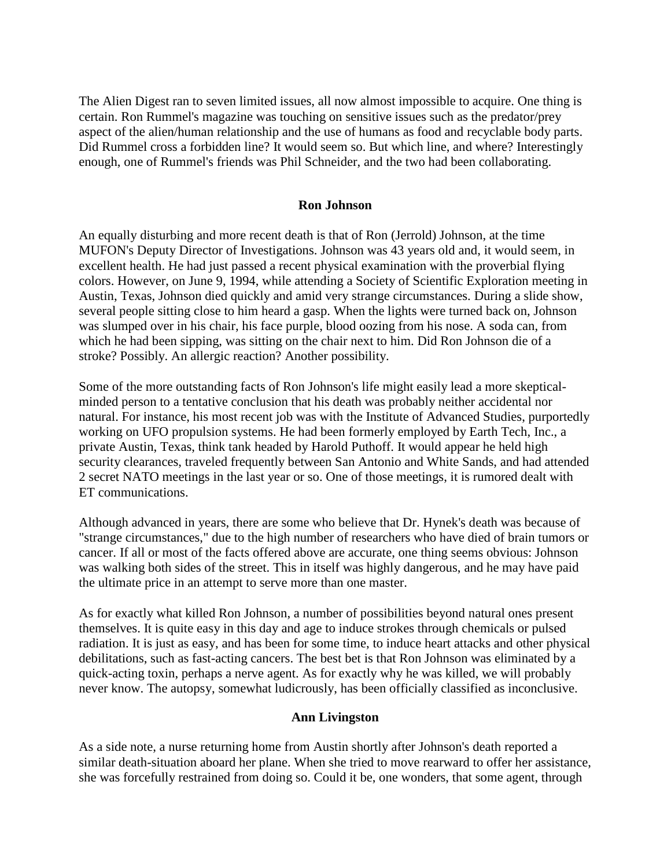The Alien Digest ran to seven limited issues, all now almost impossible to acquire. One thing is certain. Ron Rummel's magazine was touching on sensitive issues such as the predator/prey aspect of the alien/human relationship and the use of humans as food and recyclable body parts. Did Rummel cross a forbidden line? It would seem so. But which line, and where? Interestingly enough, one of Rummel's friends was Phil Schneider, and the two had been collaborating.

#### **Ron Johnson**

An equally disturbing and more recent death is that of Ron (Jerrold) Johnson, at the time MUFON's Deputy Director of Investigations. Johnson was 43 years old and, it would seem, in excellent health. He had just passed a recent physical examination with the proverbial flying colors. However, on June 9, 1994, while attending a Society of Scientific Exploration meeting in Austin, Texas, Johnson died quickly and amid very strange circumstances. During a slide show, several people sitting close to him heard a gasp. When the lights were turned back on, Johnson was slumped over in his chair, his face purple, blood oozing from his nose. A soda can, from which he had been sipping, was sitting on the chair next to him. Did Ron Johnson die of a stroke? Possibly. An allergic reaction? Another possibility.

Some of the more outstanding facts of Ron Johnson's life might easily lead a more skepticalminded person to a tentative conclusion that his death was probably neither accidental nor natural. For instance, his most recent job was with the Institute of Advanced Studies, purportedly working on UFO propulsion systems. He had been formerly employed by Earth Tech, Inc., a private Austin, Texas, think tank headed by Harold Puthoff. It would appear he held high security clearances, traveled frequently between San Antonio and White Sands, and had attended 2 secret NATO meetings in the last year or so. One of those meetings, it is rumored dealt with ET communications.

Although advanced in years, there are some who believe that Dr. Hynek's death was because of "strange circumstances," due to the high number of researchers who have died of brain tumors or cancer. If all or most of the facts offered above are accurate, one thing seems obvious: Johnson was walking both sides of the street. This in itself was highly dangerous, and he may have paid the ultimate price in an attempt to serve more than one master.

As for exactly what killed Ron Johnson, a number of possibilities beyond natural ones present themselves. It is quite easy in this day and age to induce strokes through chemicals or pulsed radiation. It is just as easy, and has been for some time, to induce heart attacks and other physical debilitations, such as fast-acting cancers. The best bet is that Ron Johnson was eliminated by a quick-acting toxin, perhaps a nerve agent. As for exactly why he was killed, we will probably never know. The autopsy, somewhat ludicrously, has been officially classified as inconclusive.

#### **Ann Livingston**

As a side note, a nurse returning home from Austin shortly after Johnson's death reported a similar death-situation aboard her plane. When she tried to move rearward to offer her assistance, she was forcefully restrained from doing so. Could it be, one wonders, that some agent, through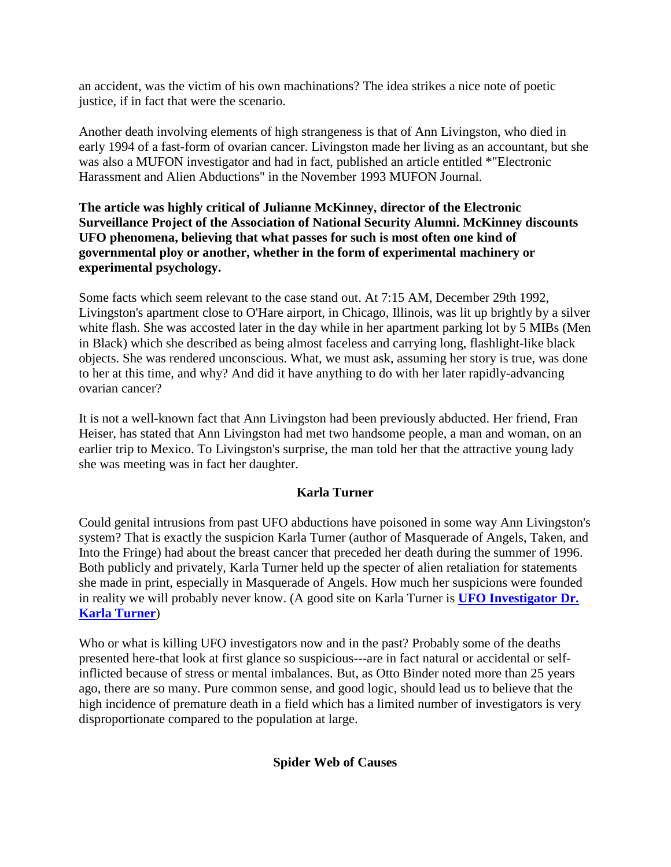an accident, was the victim of his own machinations? The idea strikes a nice note of poetic justice, if in fact that were the scenario.

Another death involving elements of high strangeness is that of Ann Livingston, who died in early 1994 of a fast-form of ovarian cancer. Livingston made her living as an accountant, but she was also a MUFON investigator and had in fact, published an article entitled \*"Electronic Harassment and Alien Abductions" in the November 1993 MUFON Journal.

**The article was highly critical of Julianne McKinney, director of the Electronic Surveillance Project of the Association of National Security Alumni. McKinney discounts UFO phenomena, believing that what passes for such is most often one kind of governmental ploy or another, whether in the form of experimental machinery or experimental psychology.**

Some facts which seem relevant to the case stand out. At 7:15 AM, December 29th 1992, Livingston's apartment close to O'Hare airport, in Chicago, Illinois, was lit up brightly by a silver white flash. She was accosted later in the day while in her apartment parking lot by 5 MIBs (Men in Black) which she described as being almost faceless and carrying long, flashlight-like black objects. She was rendered unconscious. What, we must ask, assuming her story is true, was done to her at this time, and why? And did it have anything to do with her later rapidly-advancing ovarian cancer?

It is not a well-known fact that Ann Livingston had been previously abducted. Her friend, Fran Heiser, has stated that Ann Livingston had met two handsome people, a man and woman, on an earlier trip to Mexico. To Livingston's surprise, the man told her that the attractive young lady she was meeting was in fact her daughter.

# **Karla Turner**

Could genital intrusions from past UFO abductions have poisoned in some way Ann Livingston's system? That is exactly the suspicion Karla Turner (author of Masquerade of Angels, Taken, and Into the Fringe) had about the breast cancer that preceded her death during the summer of 1996. Both publicly and privately, Karla Turner held up the specter of alien retaliation for statements she made in print, especially in Masquerade of Angels. How much her suspicions were founded in reality we will probably never know. (A good site on Karla Turner is **[UFO Investigator Dr.](http://www.geocities.com/Athens/Crete/9923/karla.html)  [Karla Turner](http://www.geocities.com/Athens/Crete/9923/karla.html)**)

Who or what is killing UFO investigators now and in the past? Probably some of the deaths presented here-that look at first glance so suspicious---are in fact natural or accidental or selfinflicted because of stress or mental imbalances. But, as Otto Binder noted more than 25 years ago, there are so many. Pure common sense, and good logic, should lead us to believe that the high incidence of premature death in a field which has a limited number of investigators is very disproportionate compared to the population at large.

## **Spider Web of Causes**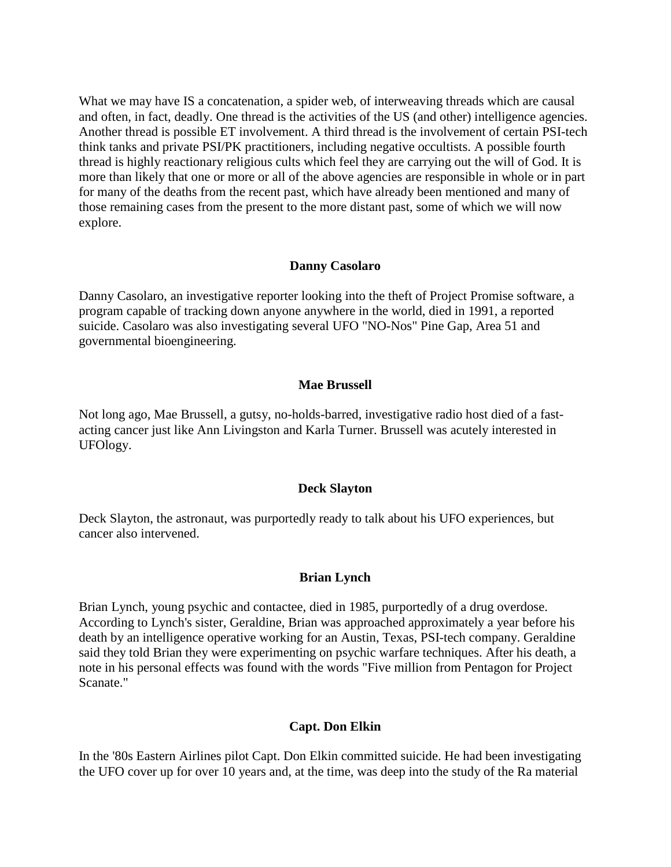What we may have IS a concatenation, a spider web, of interweaving threads which are causal and often, in fact, deadly. One thread is the activities of the US (and other) intelligence agencies. Another thread is possible ET involvement. A third thread is the involvement of certain PSI-tech think tanks and private PSI/PK practitioners, including negative occultists. A possible fourth thread is highly reactionary religious cults which feel they are carrying out the will of God. It is more than likely that one or more or all of the above agencies are responsible in whole or in part for many of the deaths from the recent past, which have already been mentioned and many of those remaining cases from the present to the more distant past, some of which we will now explore.

#### **Danny Casolaro**

Danny Casolaro, an investigative reporter looking into the theft of Project Promise software, a program capable of tracking down anyone anywhere in the world, died in 1991, a reported suicide. Casolaro was also investigating several UFO "NO-Nos" Pine Gap, Area 51 and governmental bioengineering.

#### **Mae Brussell**

Not long ago, Mae Brussell, a gutsy, no-holds-barred, investigative radio host died of a fastacting cancer just like Ann Livingston and Karla Turner. Brussell was acutely interested in UFOlogy.

#### **Deck Slayton**

Deck Slayton, the astronaut, was purportedly ready to talk about his UFO experiences, but cancer also intervened.

#### **Brian Lynch**

Brian Lynch, young psychic and contactee, died in 1985, purportedly of a drug overdose. According to Lynch's sister, Geraldine, Brian was approached approximately a year before his death by an intelligence operative working for an Austin, Texas, PSI-tech company. Geraldine said they told Brian they were experimenting on psychic warfare techniques. After his death, a note in his personal effects was found with the words "Five million from Pentagon for Project Scanate."

#### **Capt. Don Elkin**

In the '80s Eastern Airlines pilot Capt. Don Elkin committed suicide. He had been investigating the UFO cover up for over 10 years and, at the time, was deep into the study of the Ra material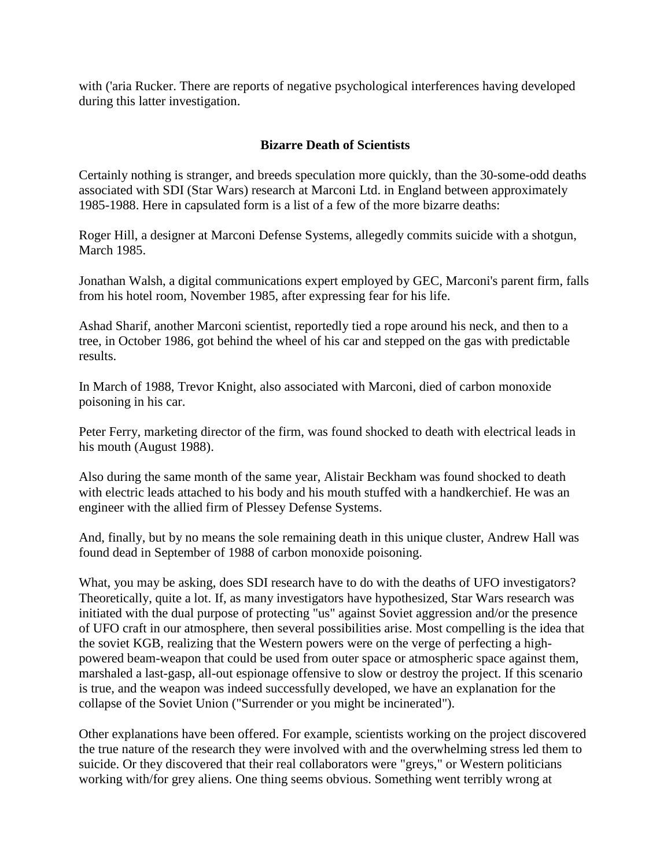with ('aria Rucker. There are reports of negative psychological interferences having developed during this latter investigation.

# **Bizarre Death of Scientists**

Certainly nothing is stranger, and breeds speculation more quickly, than the 30-some-odd deaths associated with SDI (Star Wars) research at Marconi Ltd. in England between approximately 1985-1988. Here in capsulated form is a list of a few of the more bizarre deaths:

Roger Hill, a designer at Marconi Defense Systems, allegedly commits suicide with a shotgun, March 1985.

Jonathan Walsh, a digital communications expert employed by GEC, Marconi's parent firm, falls from his hotel room, November 1985, after expressing fear for his life.

Ashad Sharif, another Marconi scientist, reportedly tied a rope around his neck, and then to a tree, in October 1986, got behind the wheel of his car and stepped on the gas with predictable results.

In March of 1988, Trevor Knight, also associated with Marconi, died of carbon monoxide poisoning in his car.

Peter Ferry, marketing director of the firm, was found shocked to death with electrical leads in his mouth (August 1988).

Also during the same month of the same year, Alistair Beckham was found shocked to death with electric leads attached to his body and his mouth stuffed with a handkerchief. He was an engineer with the allied firm of Plessey Defense Systems.

And, finally, but by no means the sole remaining death in this unique cluster, Andrew Hall was found dead in September of 1988 of carbon monoxide poisoning.

What, you may be asking, does SDI research have to do with the deaths of UFO investigators? Theoretically, quite a lot. If, as many investigators have hypothesized, Star Wars research was initiated with the dual purpose of protecting "us" against Soviet aggression and/or the presence of UFO craft in our atmosphere, then several possibilities arise. Most compelling is the idea that the soviet KGB, realizing that the Western powers were on the verge of perfecting a highpowered beam-weapon that could be used from outer space or atmospheric space against them, marshaled a last-gasp, all-out espionage offensive to slow or destroy the project. If this scenario is true, and the weapon was indeed successfully developed, we have an explanation for the collapse of the Soviet Union ("Surrender or you might be incinerated").

Other explanations have been offered. For example, scientists working on the project discovered the true nature of the research they were involved with and the overwhelming stress led them to suicide. Or they discovered that their real collaborators were "greys," or Western politicians working with/for grey aliens. One thing seems obvious. Something went terribly wrong at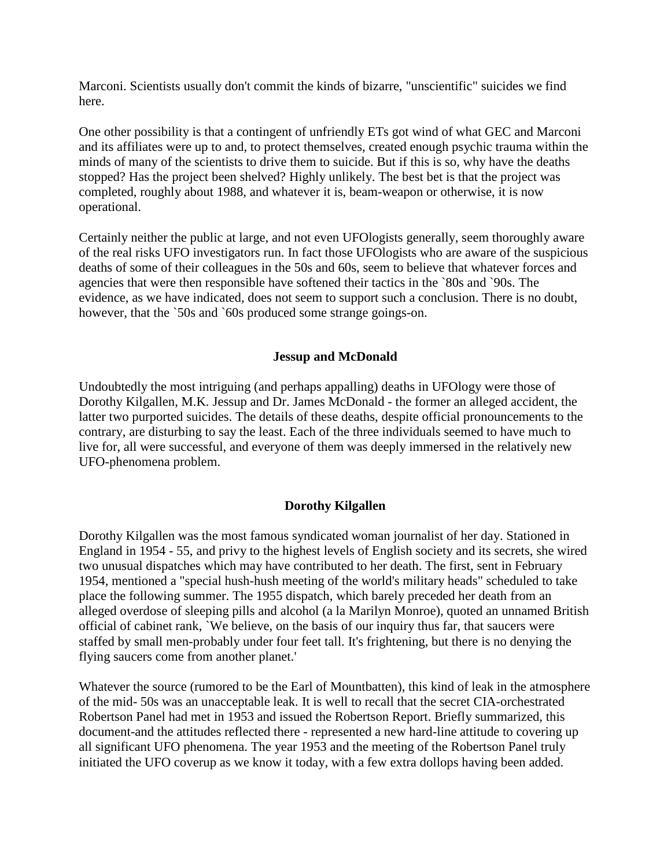Marconi. Scientists usually don't commit the kinds of bizarre, "unscientific" suicides we find here.

One other possibility is that a contingent of unfriendly ETs got wind of what GEC and Marconi and its affiliates were up to and, to protect themselves, created enough psychic trauma within the minds of many of the scientists to drive them to suicide. But if this is so, why have the deaths stopped? Has the project been shelved? Highly unlikely. The best bet is that the project was completed, roughly about 1988, and whatever it is, beam-weapon or otherwise, it is now operational.

Certainly neither the public at large, and not even UFOlogists generally, seem thoroughly aware of the real risks UFO investigators run. In fact those UFOlogists who are aware of the suspicious deaths of some of their colleagues in the 50s and 60s, seem to believe that whatever forces and agencies that were then responsible have softened their tactics in the `80s and `90s. The evidence, as we have indicated, does not seem to support such a conclusion. There is no doubt, however, that the `50s and `60s produced some strange goings-on.

## **Jessup and McDonald**

Undoubtedly the most intriguing (and perhaps appalling) deaths in UFOlogy were those of Dorothy Kilgallen, M.K. Jessup and Dr. James McDonald - the former an alleged accident, the latter two purported suicides. The details of these deaths, despite official pronouncements to the contrary, are disturbing to say the least. Each of the three individuals seemed to have much to live for, all were successful, and everyone of them was deeply immersed in the relatively new UFO-phenomena problem.

#### **Dorothy Kilgallen**

Dorothy Kilgallen was the most famous syndicated woman journalist of her day. Stationed in England in 1954 - 55, and privy to the highest levels of English society and its secrets, she wired two unusual dispatches which may have contributed to her death. The first, sent in February 1954, mentioned a "special hush-hush meeting of the world's military heads" scheduled to take place the following summer. The 1955 dispatch, which barely preceded her death from an alleged overdose of sleeping pills and alcohol (a la Marilyn Monroe), quoted an unnamed British official of cabinet rank, `We believe, on the basis of our inquiry thus far, that saucers were staffed by small men-probably under four feet tall. It's frightening, but there is no denying the flying saucers come from another planet.'

Whatever the source (rumored to be the Earl of Mountbatten), this kind of leak in the atmosphere of the mid- 50s was an unacceptable leak. It is well to recall that the secret CIA-orchestrated Robertson Panel had met in 1953 and issued the Robertson Report. Briefly summarized, this document-and the attitudes reflected there - represented a new hard-line attitude to covering up all significant UFO phenomena. The year 1953 and the meeting of the Robertson Panel truly initiated the UFO coverup as we know it today, with a few extra dollops having been added.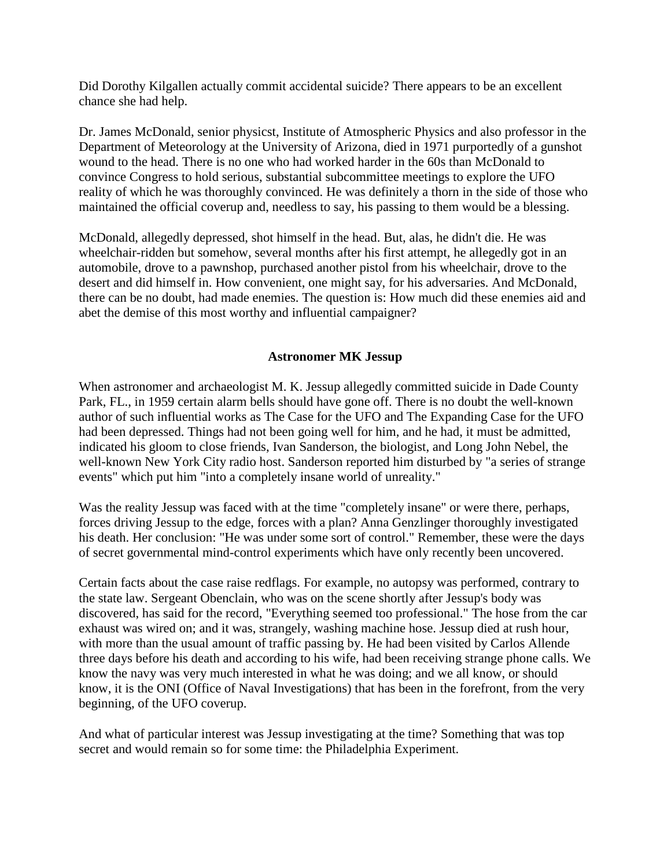Did Dorothy Kilgallen actually commit accidental suicide? There appears to be an excellent chance she had help.

Dr. James McDonald, senior physicst, Institute of Atmospheric Physics and also professor in the Department of Meteorology at the University of Arizona, died in 1971 purportedly of a gunshot wound to the head. There is no one who had worked harder in the 60s than McDonald to convince Congress to hold serious, substantial subcommittee meetings to explore the UFO reality of which he was thoroughly convinced. He was definitely a thorn in the side of those who maintained the official coverup and, needless to say, his passing to them would be a blessing.

McDonald, allegedly depressed, shot himself in the head. But, alas, he didn't die. He was wheelchair-ridden but somehow, several months after his first attempt, he allegedly got in an automobile, drove to a pawnshop, purchased another pistol from his wheelchair, drove to the desert and did himself in. How convenient, one might say, for his adversaries. And McDonald, there can be no doubt, had made enemies. The question is: How much did these enemies aid and abet the demise of this most worthy and influential campaigner?

# **Astronomer MK Jessup**

When astronomer and archaeologist M. K. Jessup allegedly committed suicide in Dade County Park, FL., in 1959 certain alarm bells should have gone off. There is no doubt the well-known author of such influential works as The Case for the UFO and The Expanding Case for the UFO had been depressed. Things had not been going well for him, and he had, it must be admitted, indicated his gloom to close friends, Ivan Sanderson, the biologist, and Long John Nebel, the well-known New York City radio host. Sanderson reported him disturbed by "a series of strange events" which put him "into a completely insane world of unreality."

Was the reality Jessup was faced with at the time "completely insane" or were there, perhaps, forces driving Jessup to the edge, forces with a plan? Anna Genzlinger thoroughly investigated his death. Her conclusion: "He was under some sort of control." Remember, these were the days of secret governmental mind-control experiments which have only recently been uncovered.

Certain facts about the case raise redflags. For example, no autopsy was performed, contrary to the state law. Sergeant Obenclain, who was on the scene shortly after Jessup's body was discovered, has said for the record, "Everything seemed too professional." The hose from the car exhaust was wired on; and it was, strangely, washing machine hose. Jessup died at rush hour, with more than the usual amount of traffic passing by. He had been visited by Carlos Allende three days before his death and according to his wife, had been receiving strange phone calls. We know the navy was very much interested in what he was doing; and we all know, or should know, it is the ONI (Office of Naval Investigations) that has been in the forefront, from the very beginning, of the UFO coverup.

And what of particular interest was Jessup investigating at the time? Something that was top secret and would remain so for some time: the Philadelphia Experiment.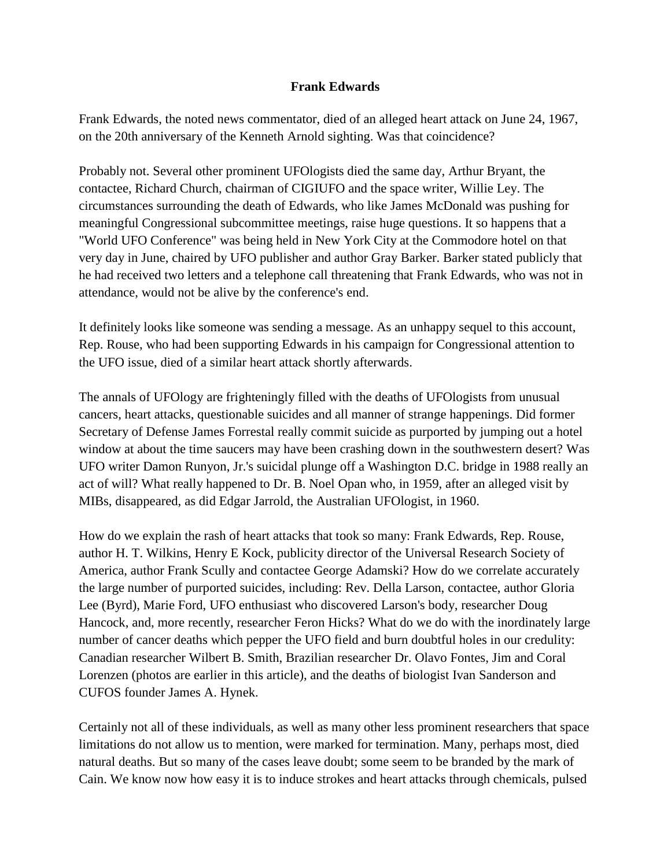# **Frank Edwards**

Frank Edwards, the noted news commentator, died of an alleged heart attack on June 24, 1967, on the 20th anniversary of the Kenneth Arnold sighting. Was that coincidence?

Probably not. Several other prominent UFOlogists died the same day, Arthur Bryant, the contactee, Richard Church, chairman of CIGIUFO and the space writer, Willie Ley. The circumstances surrounding the death of Edwards, who like James McDonald was pushing for meaningful Congressional subcommittee meetings, raise huge questions. It so happens that a "World UFO Conference" was being held in New York City at the Commodore hotel on that very day in June, chaired by UFO publisher and author Gray Barker. Barker stated publicly that he had received two letters and a telephone call threatening that Frank Edwards, who was not in attendance, would not be alive by the conference's end.

It definitely looks like someone was sending a message. As an unhappy sequel to this account, Rep. Rouse, who had been supporting Edwards in his campaign for Congressional attention to the UFO issue, died of a similar heart attack shortly afterwards.

The annals of UFOlogy are frighteningly filled with the deaths of UFOlogists from unusual cancers, heart attacks, questionable suicides and all manner of strange happenings. Did former Secretary of Defense James Forrestal really commit suicide as purported by jumping out a hotel window at about the time saucers may have been crashing down in the southwestern desert? Was UFO writer Damon Runyon, Jr.'s suicidal plunge off a Washington D.C. bridge in 1988 really an act of will? What really happened to Dr. B. Noel Opan who, in 1959, after an alleged visit by MIBs, disappeared, as did Edgar Jarrold, the Australian UFOlogist, in 1960.

How do we explain the rash of heart attacks that took so many: Frank Edwards, Rep. Rouse, author H. T. Wilkins, Henry E Kock, publicity director of the Universal Research Society of America, author Frank Scully and contactee George Adamski? How do we correlate accurately the large number of purported suicides, including: Rev. Della Larson, contactee, author Gloria Lee (Byrd), Marie Ford, UFO enthusiast who discovered Larson's body, researcher Doug Hancock, and, more recently, researcher Feron Hicks? What do we do with the inordinately large number of cancer deaths which pepper the UFO field and burn doubtful holes in our credulity: Canadian researcher Wilbert B. Smith, Brazilian researcher Dr. Olavo Fontes, Jim and Coral Lorenzen (photos are earlier in this article), and the deaths of biologist Ivan Sanderson and CUFOS founder James A. Hynek.

Certainly not all of these individuals, as well as many other less prominent researchers that space limitations do not allow us to mention, were marked for termination. Many, perhaps most, died natural deaths. But so many of the cases leave doubt; some seem to be branded by the mark of Cain. We know now how easy it is to induce strokes and heart attacks through chemicals, pulsed